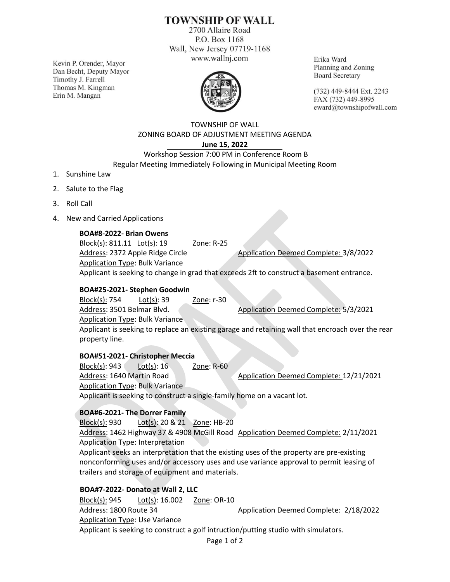# **TOWNSHIP OF WALL**

2700 Allaire Road P.O. Box 1168 Wall, New Jersey 07719-1168 www.wallnj.com

Kevin P. Orender, Mayor Dan Becht, Deputy Mayor Timothy J. Farrell Thomas M. Kingman Erin M. Mangan



Erika Ward Planning and Zoning **Board Secretary** 

(732) 449-8444 Ext. 2243 FAX (732) 449-8995 eward@townshipofwall.com

#### TOWNSHIP OF WALL ZONING BOARD OF ADJUSTMENT MEETING AGENDA **June 15, 2022**

## Workshop Session 7:00 PM in Conference Room B Regular Meeting Immediately Following in Municipal Meeting Room

- 1. Sunshine Law
- 2. Salute to the Flag
- 3. Roll Call
- 4. New and Carried Applications

## **BOA#8-2022- Brian Owens**

Block(s): 811.11 Lot(s): 19 Zone: R-25 Address: 2372 Apple Ridge Circle Application Deemed Complete: 3/8/2022 Application Type: Bulk Variance Applicant is seeking to change in grad that exceeds 2ft to construct a basement entrance.

#### **BOA#25-2021- Stephen Goodwin**

Block(s): 754 Lot(s): 39 Zone: r-30 Address: 3501 Belmar Blvd. Application Deemed Complete: 5/3/2021 Application Type: Bulk Variance

Applicant is seeking to replace an existing garage and retaining wall that encroach over the rear property line.

#### **BOA#51-2021- Christopher Meccia**

Block(s): 943 Lot(s): 16 Zone: R-60 Address: 1640 Martin Road Application Deemed Complete: 12/21/2021 Application Type: Bulk Variance Applicant is seeking to construct a single-family home on a vacant lot.

## **BOA#6-2021- The Dorrer Family**

Block(s): 930 Lot(s): 20 & 21 Zone: HB-20 Address: 1462 Highway 37 & 4908 McGill Road Application Deemed Complete: 2/11/2021 Application Type: Interpretation Applicant seeks an interpretation that the existing uses of the property are pre-existing

nonconforming uses and/or accessory uses and use variance approval to permit leasing of trailers and storage of equipment and materials.

## **BOA#7-2022- Donato at Wall 2, LLC**

Block(s): 945 Lot(s): 16.002 Zone: OR-10 Address: 1800 Route 34 Application Deemed Complete: 2/18/2022 Application Type: Use Variance Applicant is seeking to construct a golf intruction/putting studio with simulators.